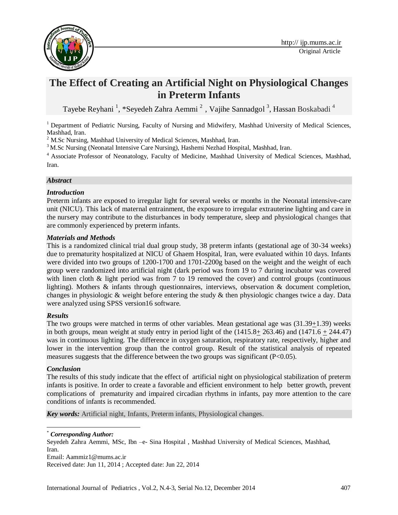

# **The Effect of Creating an Artificial Night on Physiological Changes in Preterm Infants**

Tayebe Reyhani<sup>1</sup>, \*Seyedeh Zahra Aemmi<sup>2</sup>, Vajihe Sannadgol<sup>3</sup>, Hassan Boskabadi<sup>4</sup>

<sup>1</sup> Department of Pediatric Nursing, Faculty of Nursing and Midwifery, Mashhad University of Medical Sciences, Mashhad, Iran.

<sup>2</sup> M.Sc Nursing, Mashhad University of Medical Sciences, Mashhad, Iran.

<sup>3</sup> M.Sc Nursing (Neonatal Intensive Care Nursing), Hashemi Nezhad Hospital, Mashhad, Iran.

<sup>4</sup> Associate Professor of Neonatology, Faculty of Medicine, Mashhad University of Medical Sciences, Mashhad, Iran.

#### *Abstract*

#### *Introduction*

Preterm infants are exposed to irregular light for several weeks or months in the Neonatal intensive-care unit (NICU). This lack of maternal entrainment, the exposure to irregular extrauterine lighting and care in the nursery may contribute to the disturbances in body temperature, sleep and physiological changes that are commonly experienced by preterm infants.

#### *Materials and Methods*

This is a randomized clinical trial dual group study, 38 preterm infants (gestational age of 30-34 weeks) due to prematurity hospitalized at NICU of Ghaem Hospital, Iran, were evaluated within 10 days. Infants were divided into two groups of 1200-1700 and 1701-2200g based on the weight and the weight of each group were randomized into artificial night (dark period was from 19 to 7 during incubator was covered with linen cloth & light period was from 7 to 19 removed the cover) and control groups (continuous lighting). Mothers & infants through questionnaires, interviews, observation & document completion, changes in physiologic & weight before entering the study & then physiologic changes twice a day. Data were analyzed using SPSS version16 software.

#### *Results*

The two groups were matched in terms of other variables. Mean gestational age was (31.39+1.39) weeks in both groups, mean weight at study entry in period light of the  $(1415.8+ 263.46)$  and  $(1471.6 + 244.47)$ was in continuous lighting. The difference in oxygen saturation, respiratory rate, respectively, higher and lower in the intervention group than the control group. Result of the statistical analysis of repeated measures suggests that the difference between the two groups was significant  $(P<0.05)$ .

#### *Conclusion*

The results of this study indicate that the effect of artificial night on physiological stabilization of preterm infants is positive. In order to create a favorable and efficient environment to help better growth, prevent complications of prematurity and impaired circadian rhythms in infants, pay more attention to the care conditions of infants is recommended.

*Key words:* Artificial night, Infants, Preterm infants, Physiological changes.

 $\overline{\phantom{a}}$ \* *Corresponding Author:*

Seyedeh Zahra Aemmi, MSc, Ibn –e- Sina Hospital , Mashhad University of Medical Sciences, Mashhad, Iran.

Email: [Aammiz1@mums.ac.ir](mailto:Aammiz1@mums.ac.ir)

Received date: Jun 11, 2014 ; Accepted date: Jun 22, 2014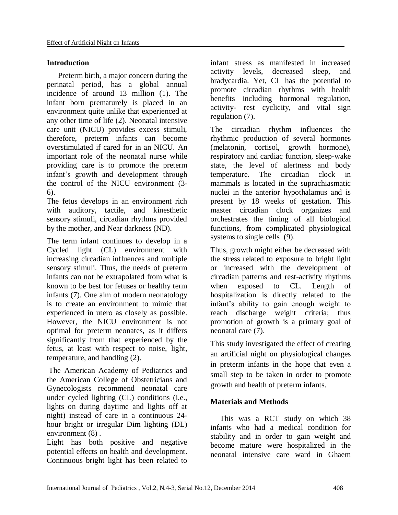# **Introduction**

Preterm birth, a major concern during the perinatal period, has a global annual incidence of around 13 million [\(1\)](#page-5-0). The infant born prematurely is placed in an environment quite unlike that experienced at any other time of life [\(2\)](#page-5-1). Neonatal intensive care unit (NICU) provides excess stimuli, therefore, preterm infants can become overstimulated if cared for in an NICU. An important role of the neonatal nurse while providing care is to promote the preterm infant's growth and development through the control of the NICU environment (3-  $(6)$ .

The fetus develops in an environment rich with auditory, tactile, and kinesthetic sensory stimuli, circadian rhythms provided by the mother, and Near darkness (ND).

The term infant continues to develop in a Cycled light (CL) environment with increasing circadian influences and multiple sensory stimuli. Thus, the needs of preterm infants can not be extrapolated from what is known to be best for fetuses or healthy term infants [\(7\)](#page-5-4). One aim of modern neonatology is to create an environment to mimic that experienced in utero as closely as possible. However, the NICU environment is not optimal for preterm neonates, as it differs significantly from that experienced by the fetus, at least with respect to noise, light, temperature, and handling [\(2\)](#page-5-1).

The American Academy of Pediatrics and the American College of Obstetricians and Gynecologists recommend neonatal care under cycled lighting (CL) conditions (i.e., lights on during daytime and lights off at night) instead of care in a continuous 24 hour bright or irregular Dim lighting (DL) environment [\(8\)](#page-5-5) .

Light has both positive and negative potential effects on health and development. Continuous bright light has been related to

infant stress as manifested in increased activity levels, decreased sleep, and bradycardia. Yet, CL has the potential to promote circadian rhythms with health benefits including hormonal regulation, activity- rest cyclicity, and vital sign regulation [\(7\)](#page-5-4).

The circadian rhythm influences the rhythmic production of several hormones (melatonin, cortisol, growth hormone), respiratory and cardiac function, sleep-wake state, the level of alertness and body temperature. The circadian clock in mammals is located in the suprachiasmatic nuclei in the anterior hypothalamus and is present by 18 weeks of gestation. This master circadian clock organizes and orchestrates the timing of all biological functions, from complicated physiological systems to single cells [\(9\)](#page-5-6).

Thus, growth might either be decreased with the stress related to exposure to bright light or increased with the development of circadian patterns and rest-activity rhythms when exposed to CL. Length of hospitalization is directly related to the infant's ability to gain enough weight to reach discharge weight criteria; thus promotion of growth is a primary goal of neonatal care [\(7\)](#page-5-4).

This study investigated the effect of creating an artificial night on physiological changes in preterm infants in the hope that even a small step to be taken in order to promote growth and health of preterm infants.

# **Materials and Methods**

This was a RCT study on which 38 infants who had a medical condition for stability and in order to gain weight and become mature were hospitalized in the neonatal intensive care ward in Ghaem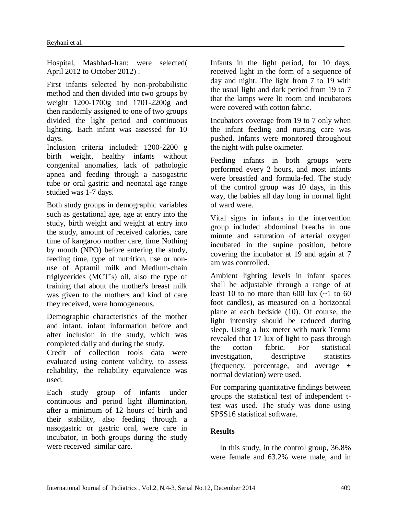Hospital, Mashhad-Iran; were selected( April 2012 to October 2012) .

First infants selected by non-probabilistic method and then divided into two groups by weight 1200-1700g and 1701-2200g and then randomly assigned to one of two groups divided the light period and continuous lighting. Each infant was assessed for 10 days.

Inclusion criteria included: 1200-2200 g birth weight, healthy infants without congenital anomalies, lack of pathologic apnea and feeding through a nasogastric tube or oral gastric and neonatal age range studied was 1-7 days.

Both study groups in demographic variables such as gestational age, age at entry into the study, birth weight and weight at entry into the study, amount of received calories, care time of kangaroo mother care, time Nothing by mouth (NPO) before entering the study, feeding time, type of nutrition, use or nonuse of Aptamil milk and Medium-chain triglycerides (MCT's) oil, also the type of training that about the mother's breast milk was given to the mothers and kind of care they received, were homogeneous.

Demographic characteristics of the mother and infant, infant information before and after inclusion in the study, which was completed daily and during the study.

Credit of collection tools data were evaluated using content validity, to assess reliability, the reliability equivalence was used.

Each study group of infants under continuous and period light illumination, after a minimum of 12 hours of birth and their stability, also feeding through a nasogastric or gastric oral, were care in incubator, in both groups during the study were received similar care.

Infants in the light period, for 10 days, received light in the form of a sequence of day and night. The light from 7 to 19 with the usual light and dark period from 19 to 7 that the lamps were lit room and incubators were covered with cotton fabric.

Incubators coverage from 19 to 7 only when the infant feeding and nursing care was pushed. Infants were monitored throughout the night with pulse oximeter.

Feeding infants in both groups were performed every 2 hours, and most infants were breastfed and formula-fed. The study of the control group was 10 days, in this way, the babies all day long in normal light of ward were.

Vital signs in infants in the intervention group included abdominal breaths in one minute and saturation of arterial oxygen incubated in the supine position, before covering the incubator at 19 and again at 7 am was controlled.

Ambient lighting levels in infant spaces shall be adjustable through a range of at least 10 to no more than 600 lux  $(-1)$  to 60 foot candles), as measured on a horizontal plane at each bedside [\(10\)](#page-5-7). Of course, the light intensity should be reduced during sleep. Using a lux meter with mark Tenma revealed that 17 lux of light to pass through the cotton fabric. For statistical investigation, descriptive statistics (frequency, percentage, and average  $\pm$ normal deviation) were used.

For comparing quantitative findings between groups the statistical test of independent ttest was used. The study was done using SPSS16 statistical software.

# **Results**

In this study, in the control group, 36.8% were female and 63.2% were male, and in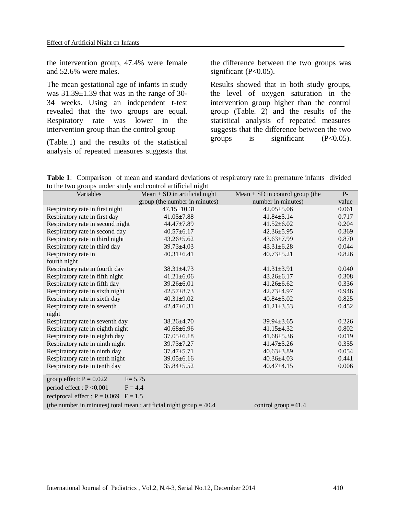the intervention group, 47.4% were female and 52.6% were males.

The mean gestational age of infants in study was 31.39±1.39 that was in the range of 30- 34 weeks. Using an independent t-test revealed that the two groups are equal. Respiratory rate was lower in the intervention group than the control group

(Table.1) and the results of the statistical analysis of repeated measures suggests that

the difference between the two groups was significant (P<0.05).

Results showed that in both study groups, the level of oxygen saturation in the intervention group higher than the control group (Table. 2) and the results of the statistical analysis of repeated measures suggests that the difference between the two groups is significant  $(P<0.05)$ .

**Table 1**: Comparison of mean and standard deviations of respiratory rate in premature infants divided to the two groups under study and control artificial night

| Variables                                                            | Mean $\pm$ SD in artificial night | Mean $\pm$ SD in control group (the | $P -$ |
|----------------------------------------------------------------------|-----------------------------------|-------------------------------------|-------|
|                                                                      | group (the number in minutes)     | number in minutes)                  | value |
| Respiratory rate in first night                                      | $47.15 \pm 10.31$                 | $42.05 \pm 5.06$                    | 0.061 |
| Respiratory rate in first day                                        | $41.05 \pm 7.88$                  | $41.84 \pm 5.14$                    | 0.717 |
| Respiratory rate in second night                                     | $44.47 \pm 7.89$                  | $41.52 \pm 6.02$                    | 0.204 |
| Respiratory rate in second day                                       | $40.57 \pm 6.17$                  | $42.36 \pm 5.95$                    | 0.369 |
| Respiratory rate in third night                                      | $43.26 \pm 5.62$                  | $43.63 \pm 7.99$                    | 0.870 |
| Respiratory rate in third day                                        | $39.73 \pm 4.03$                  | $43.31 \pm 6.28$                    | 0.044 |
| Respiratory rate in                                                  | $40.31 \pm 6.41$                  | $40.73 \pm 5.21$                    | 0.826 |
| fourth night                                                         |                                   |                                     |       |
| Respiratory rate in fourth day                                       | $38.31 \pm 4.73$                  | $41.31 \pm 3.91$                    | 0.040 |
| Respiratory rate in fifth night                                      | $41.21 \pm 6.06$                  | $43.26 \pm 6.17$                    | 0.308 |
| Respiratory rate in fifth day                                        | $39.26 \pm 6.01$                  | $41.26 \pm 6.62$                    | 0.336 |
| Respiratory rate in sixth night                                      | $42.57 \pm 8.73$                  | $42.73 \pm 4.97$                    | 0.946 |
| Respiratory rate in sixth day                                        | $40.31 \pm 9.02$                  | $40.84 \pm 5.02$                    | 0.825 |
| Respiratory rate in seventh                                          | $42.47 \pm 6.31$                  | $41.21 \pm 3.53$                    | 0.452 |
| night                                                                |                                   |                                     |       |
| Respiratory rate in seventh day                                      | $38.26 \pm 4.70$                  | $39.94 \pm 3.65$                    | 0.226 |
| Respiratory rate in eighth night                                     | $40.68 + 6.96$                    | $41.15 \pm 4.32$                    | 0.802 |
| Respiratory rate in eighth day                                       | $37.05 \pm 6.18$                  | $41.68 \pm 5.36$                    | 0.019 |
| Respiratory rate in ninth night                                      | $39.73 \pm 7.27$                  | $41.47 \pm 5.26$                    | 0.355 |
| Respiratory rate in ninth day                                        | $37.47 + 5.71$                    | $40.63 \pm 3.89$                    | 0.054 |
| Respiratory rate in tenth night                                      | $39.05 \pm 6.16$                  | $40.36 \pm 4.03$                    | 0.441 |
| Respiratory rate in tenth day                                        | $35.84 \pm 5.52$                  | $40.47 + 4.15$                      | 0.006 |
| group effect: $P = 0.022$<br>$F = 5.75$                              |                                   |                                     |       |
| period effect : $P < 0.001$<br>$F = 4.4$                             |                                   |                                     |       |
| reciprocal effect : $P = 0.069$ $F = 1.5$                            |                                   |                                     |       |
| (the number in minutes) total mean : artificial night group $= 40.4$ |                                   | control group $=41.4$               |       |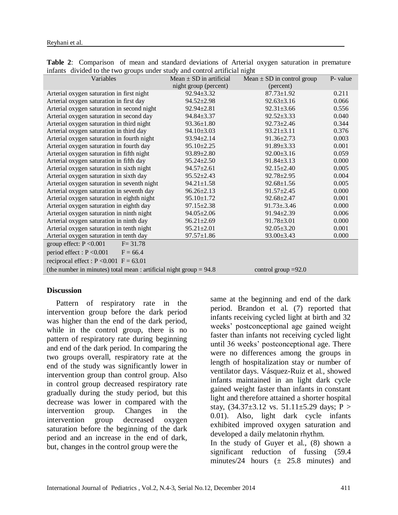| infants divided to the two groups under study and control artificial night |                             |                                |          |  |
|----------------------------------------------------------------------------|-----------------------------|--------------------------------|----------|--|
| Variables                                                                  | Mean $\pm$ SD in artificial | Mean $\pm$ SD in control group | P- value |  |
|                                                                            | night group (percent)       | (percent)                      |          |  |
| Arterial oxygen saturation in first night                                  | $92.94 \pm 3.32$            | $87.73 \pm 1.92$               | 0.211    |  |
| Arterial oxygen saturation in first day                                    | $94.52 \pm 2.98$            | $92.63 \pm 3.16$               | 0.066    |  |
| Arterial oxygen saturation in second night                                 | $92.94 \pm 2.81$            | $92.31 \pm 3.66$               | 0.556    |  |
| Arterial oxygen saturation in second day                                   | $94.84 \pm 3.37$            | $92.52 \pm 3.33$               | 0.040    |  |
| Arterial oxygen saturation in third night                                  | $93.36 \pm 1.80$            | $92.73 \pm 2.46$               | 0.344    |  |
| Arterial oxygen saturation in third day                                    | $94.10 \pm 3.03$            | $93.21 \pm 3.11$               | 0.376    |  |
| Arterial oxygen saturation in fourth night                                 | $93.94 \pm 2.14$            | $91.36 \pm 2.73$               | 0.003    |  |
| Arterial oxygen saturation in fourth day                                   | $95.10 \pm 2.25$            | $91.89 \pm 3.33$               | 0.001    |  |
| Arterial oxygen saturation in fifth night                                  | $93.89 \pm 2.80$            | $92.00 \pm 3.16$               | 0.059    |  |
| Arterial oxygen saturation in fifth day                                    | $95.24 \pm 2.50$            | $91.84 \pm 3.13$               | 0.000    |  |
| Arterial oxygen saturation in sixth night                                  | $94.57 \pm 2.61$            | $92.15 \pm 2.40$               | 0.005    |  |
| Arterial oxygen saturation in sixth day                                    | $95.52 \pm 2.43$            | $92.78 \pm 2.95$               | 0.004    |  |
| Arterial oxygen saturation in seventh night                                | $94.21 \pm 1.58$            | $92.68 \pm 1.56$               | 0.005    |  |
| Arterial oxygen saturation in seventh day                                  | $96.26 \pm 2.13$            | $91.57 \pm 2.45$               | 0.000    |  |
| Arterial oxygen saturation in eighth night                                 | $95.10 \pm 1.72$            | $92.68 \pm 2.47$               | 0.001    |  |
| Arterial oxygen saturation in eighth day                                   | $97.15 \pm 2.38$            | $91.73 \pm .3.46$              | 0.000    |  |
| Arterial oxygen saturation in ninth night                                  | $94.05 \pm 2.06$            | $91.94 \pm 2.39$               | 0.006    |  |
| Arterial oxygen saturation in ninth day                                    | $96.21 \pm 2.69$            | $91.78 \pm 3.01$               | 0.000    |  |
| Arterial oxygen saturation in tenth night                                  | $95.21 \pm 2.01$            | $92.05 \pm 3.20$               | 0.001    |  |
| Arterial oxygen saturation in tenth day                                    | $97.57 \pm 1.86$            | 93.00±3.43                     | 0.000    |  |
| group effect: $P < 0.001$<br>$F = 31.78$                                   |                             |                                |          |  |
| period effect : $P < 0.001$<br>$F = 66.4$                                  |                             |                                |          |  |
| reciprocal effect : $P < 0.001$ F = 63.01                                  |                             |                                |          |  |
| (the number in minutes) total mean : artificial night group $= 94.8$       |                             | control group $=92.0$          |          |  |

# **Table 2**: Comparison of mean and standard deviations of Arterial oxygen saturation in premature

#### **Discussion**

Pattern of respiratory rate in the intervention group before the dark period was higher than the end of the dark period, while in the control group, there is no pattern of respiratory rate during beginning and end of the dark period. In comparing the two groups overall, respiratory rate at the end of the study was significantly lower in intervention group than control group. Also in control group decreased respiratory rate gradually during the study period, but this decrease was lower in compared with the intervention group. Changes in the intervention group decreased oxygen saturation before the beginning of the dark period and an increase in the end of dark, but, changes in the control group were the

same at the beginning and end of the dark period. Brandon et al. [\(7\)](#page-5-4) reported that infants receiving cycled light at birth and 32 weeks' postconceptional age gained weight faster than infants not receiving cycled light until 36 weeks' postconceptional age. There were no differences among the groups in length of hospitalization stay or number of ventilator days. Vásquez-Ruiz et al., showed infants maintained in an light dark cycle gained weight faster than infants in constant light and therefore attained a shorter hospital stay,  $(34.37 \pm 3.12 \text{ vs. } 51.11 \pm 5.29 \text{ days}; P >$ 0.01). Also, light dark cycle infants exhibited improved oxygen saturation and developed a daily melatonin rhythm. In the study of Guyer et al., [\(8\)](#page-5-5) shown a significant reduction of fussing (59.4

minutes/24 hours  $(\pm 25.8 \text{ minutes})$  and